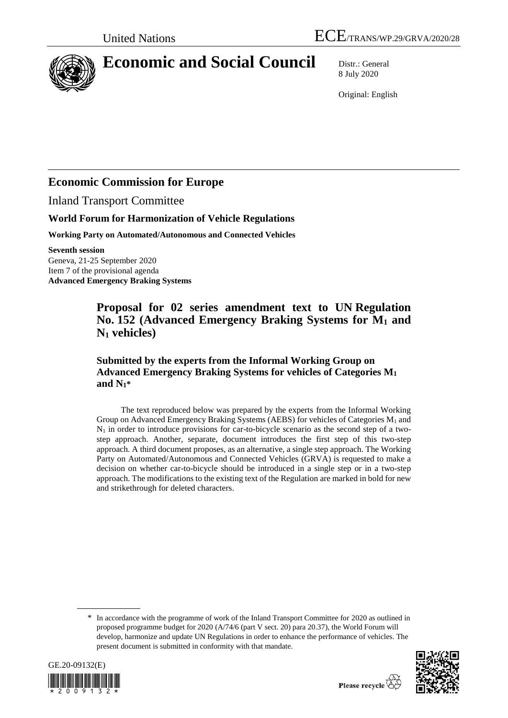

# **Economic and Social Council** Distr.: General

8 July 2020

Original: English

# **Economic Commission for Europe**

Inland Transport Committee

### **World Forum for Harmonization of Vehicle Regulations**

**Working Party on Automated/Autonomous and Connected Vehicles**

**Seventh session** Geneva, 21-25 September 2020 Item 7 of the provisional agenda

**Advanced Emergency Braking Systems**

# **Proposal for 02 series amendment text to UN Regulation No. 152 (Advanced Emergency Braking Systems for M<sup>1</sup> and N<sup>1</sup> vehicles)**

### **Submitted by the experts from the Informal Working Group on Advanced Emergency Braking Systems for vehicles of Categories M<sup>1</sup> and N1\***

The text reproduced below was prepared by the experts from the Informal Working Group on Advanced Emergency Braking Systems (AEBS) for vehicles of Categories  $M_1$  and  $N_1$  in order to introduce provisions for car-to-bicycle scenario as the second step of a twostep approach. Another, separate, document introduces the first step of this two-step approach. A third document proposes, as an alternative, a single step approach. The Working Party on Automated/Autonomous and Connected Vehicles (GRVA) is requested to make a decision on whether car-to-bicycle should be introduced in a single step or in a two-step approach. The modifications to the existing text of the Regulation are marked in bold for new and strikethrough for deleted characters.

\* In accordance with the programme of work of the Inland Transport Committee for 2020 as outlined in proposed programme budget for 2020 (A/74/6 (part V sect. 20) para 20.37), the World Forum will develop, harmonize and update UN Regulations in order to enhance the performance of vehicles. The present document is submitted in conformity with that mandate.



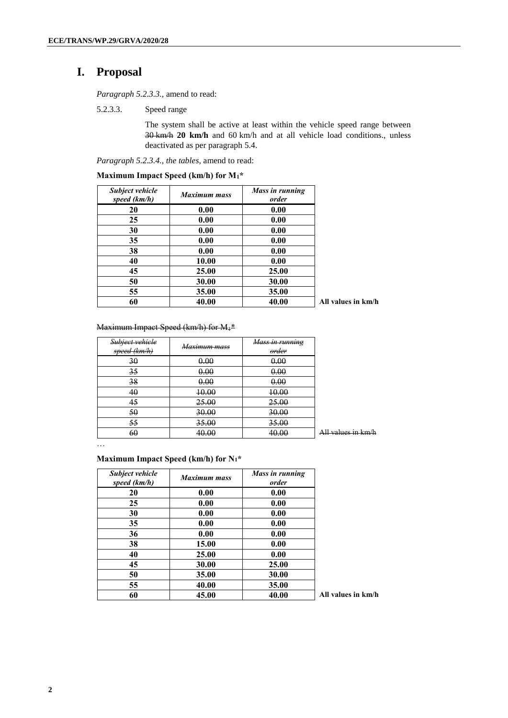# **I. Proposal**

*Paragraph 5.2.3.3.,* amend to read:

5.2.3.3. Speed range

The system shall be active at least within the vehicle speed range between km/h **20 km/h** and 60 km/h and at all vehicle load conditions., unless deactivated as per paragraph 5.4.

*Paragraph 5.2.3.4., the tables,* amend to read:

| <b>Subject vehicle</b><br>speed (km/h) | <b>Maximum mass</b> | Mass in running<br>order |                    |
|----------------------------------------|---------------------|--------------------------|--------------------|
| 20                                     | 0.00                | 0.00                     |                    |
| 25                                     | 0.00                | 0.00                     |                    |
| 30                                     | 0.00                | 0.00                     |                    |
| 35                                     | 0.00                | 0.00                     |                    |
| 38                                     | 0.00                | 0.00                     |                    |
| 40                                     | 10.00               | 0.00                     |                    |
| 45                                     | 25.00               | <b>25.00</b>             |                    |
| 50                                     | 30.00               | 30.00                    |                    |
| 55                                     | 35.00               | 35.00                    |                    |
| 60                                     | 40.00               | 40.00                    | All values in km/h |

**Maximum Impact Speed (km/h) for M1\***

#### Maximum Impact Speed (km/h) for M<sub>1</sub>\*

| Subject vehicle<br>speed (km/h) | Maximum mass | Mass in running<br>order |                                                                 |
|---------------------------------|--------------|--------------------------|-----------------------------------------------------------------|
| 30                              | 0.00         | 0.00                     |                                                                 |
| 35                              | 0.00         | 0.00                     |                                                                 |
| 38                              | 0.00         | 0.00                     |                                                                 |
| 40                              | 10.00        | 10.00                    |                                                                 |
| 45                              | 25.00        | 25.00                    |                                                                 |
| 50                              | 30.00        | 30.00                    |                                                                 |
| 55                              | 35.00        | 35.00                    |                                                                 |
| 60                              | 40.00        | 40.00                    | $\Lambda$ ll values in km/h<br><del>Ani vanitos in Kiil I</del> |

…

#### **Maximum Impact Speed (km/h) for N1\***

| Subject vehicle<br>speed (km/h) | <b>Maximum mass</b> | Mass in running<br>order |          |
|---------------------------------|---------------------|--------------------------|----------|
| 20                              | 0.00                | 0.00                     |          |
| 25                              | 0.00                | 0.00                     |          |
| 30                              | 0.00                | 0.00                     |          |
| 35                              | 0.00                | 0.00                     |          |
| 36                              | 0.00                | 0.00                     |          |
| 38                              | 15.00               | 0.00                     |          |
| 40                              | 25.00               | 0.00                     |          |
| 45                              | 30.00               | 25.00                    |          |
| 50                              | 35.00               | 30.00                    |          |
| 55                              | 40.00               | 35.00                    |          |
| 60                              | 45.00               | 40.00                    | All valu |

**45.00 40.00 All values in km/h**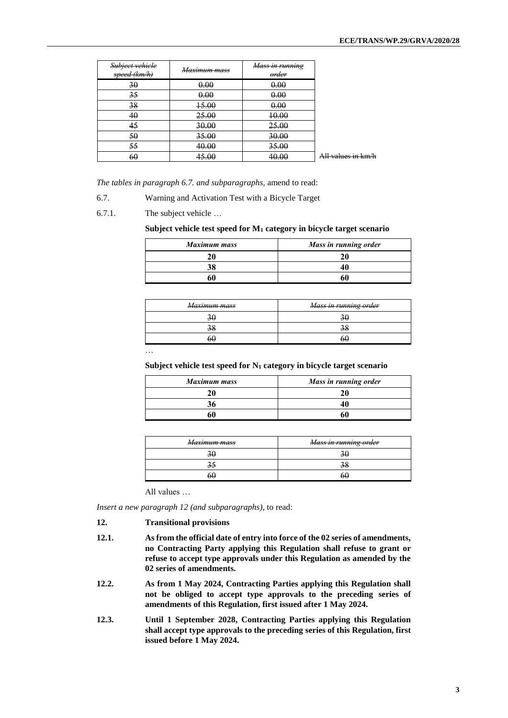| Subject vehicle<br>speed (km/h) | <del>Maximum mass</del> | Mass in running<br>order |                    |
|---------------------------------|-------------------------|--------------------------|--------------------|
| 30                              | 0.00                    | 0.00                     |                    |
| 35                              | 0.00                    | 0.00                     |                    |
| 38                              | 15.00                   | 0.00                     |                    |
| 40                              | 25.00                   | 10.00                    |                    |
| 45                              | 30.00                   | 25.00                    |                    |
| 50                              | 35.00                   | 30.00                    |                    |
| 55                              | 40.00                   | 35.00                    |                    |
| 60                              | 45.00                   | 40.00                    | All values in km/h |

*The tables in paragraph 6.7. and subparagraphs,* amend to read:

- 6.7. Warning and Activation Test with a Bicycle Target
- 6.7.1. The subject vehicle …

#### **Subject vehicle test speed for M<sup>1</sup> category in bicycle target scenario**

| <b>Maximum mass</b> | Mass in running order |
|---------------------|-----------------------|
| 20                  | 20                    |
| 38                  |                       |
|                     | 60                    |

| Maximum mass | Mass in running order |
|--------------|-----------------------|
|              |                       |
|              |                       |
| 60           | 6U                    |

…

**Subject vehicle test speed for N<sup>1</sup> category in bicycle target scenario**

| <b>Maximum mass</b> | Mass in running order |
|---------------------|-----------------------|
|                     |                       |
|                     |                       |
| 50                  |                       |

| Maximum mass | <del>Mass in running order</del> |
|--------------|----------------------------------|
| ᢣᡃ           |                                  |
|              |                                  |
| nг           | hЕ                               |

All values …

*Insert a new paragraph 12 (and subparagraphs)*, to read:

#### **12. Transitional provisions**

- **12.1. As from the official date of entry into force of the 02 series of amendments, no Contracting Party applying this Regulation shall refuse to grant or refuse to accept type approvals under this Regulation as amended by the 02 series of amendments.**
- **12.2. As from 1 May 2024, Contracting Parties applying this Regulation shall not be obliged to accept type approvals to the preceding series of amendments of this Regulation, first issued after 1 May 2024.**
- **12.3. Until 1 September 2028, Contracting Parties applying this Regulation shall accept type approvals to the preceding series of this Regulation, first issued before 1 May 2024.**